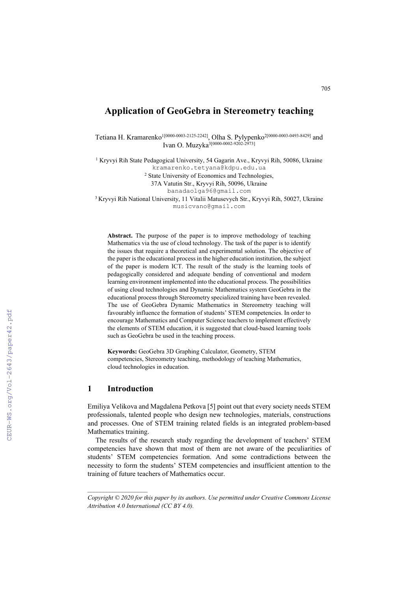# **Application of GeoGebra in Stereometry teaching**

Tetiana H. Kramarenko<sup>1[0000-0003-2125-2242]</sup>, Olha S. Pylypenko<sup>2[0000-0003-0493-8429]</sup> and Ivan O. Muzyka<sup>3[0000-0002-9202-2973]</sup>

<sup>1</sup> Kryvyi Rih State Pedagogical University, 54 Gagarin Ave., Kryvyi Rih, 50086, Ukraine [kramarenko.tetyana@kdpu.edu.ua](mailto:kramarenko.tetyana@kdpu.edu.ua)

<sup>2</sup> State University of Economics and Technologies,

37A Vatutin Str., Kryvyi Rih, 50096, Ukraine

[banadaolga96@gmail.com](mailto:banadaolga96@gmail.com)

<sup>3</sup> Kryvyi Rih National University, 11 Vitalii Matusevych Str., Kryvyi Rih, 50027, Ukraine [musicvano@gmail.com](mailto:musicvano@gmail.com)

**Abstract.** The purpose of the paper is to improve methodology of teaching Mathematics via the use of cloud technology. The task of the paper is to identify the issues that require a theoretical and experimental solution. The objective of the paper is the educational process in the higher education institution, the subject of the paper is modern ICT. The result of the study is the learning tools of pedagogically considered and adequate bending of conventional and modern learning environment implemented into the educational process. The possibilities of using cloud technologies and Dynamic Mathematics system GeoGebra in the educational process through Stereometry specialized training have been revealed. The use of GeoGebra Dynamic Mathematics in Stereometry teaching will favourably influence the formation of students' STEM competencies. In order to encourage Mathematics and Computer Science teachers to implement effectively the elements of STEM education, it is suggested that cloud-based learning tools such as GeoGebra be used in the teaching process.

**Keywords:** GeoGebra 3D Graphing Calculator, Geometry, STEM competencies, Stereometry teaching, methodology of teaching Mathematics, cloud technologies in education.

## **1 Introduction**

Emiliya Velikova and Magdalena Petkova [5] point out that every society needs STEM professionals, talented people who design new technologies, materials, constructions and processes. One of STEM training related fields is an integrated problem-based Mathematics training.

The results of the research study regarding the development of teachers' STEM competencies have shown that most of them are not aware of the peculiarities of students' STEM competencies formation. And some contradictions between the necessity to form the students' STEM competencies and insufficient attention to the training of future teachers of Mathematics occur.

*Copyright © 2020 for this paper by its authors. Use permitted under Creative Commons License Attribution 4.0 International (CC BY 4.0).*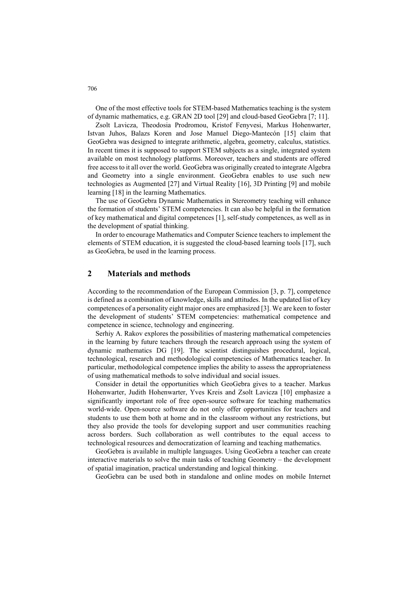One of the most effective tools for STEM-based Mathematics teaching is the system of dynamic mathematics, e.g. GRAN 2D tool [29] and cloud-based GeoGebra [7; 11].

Zsolt Lavicza, Theodosia Prodromou, Kristof Fenyvesi, Markus Hohenwarter, Istvan Juhos, Balazs Koren and Jose Manuel Diego-Mantecón [15] claim that GeoGebra was designed to integrate arithmetic, algebra, geometry, calculus, statistics. In recent times it is supposed to support STEM subjects as a single, integrated system available on most technology platforms. Moreover, teachers and students are offered free access to it all over the world. GeoGebra was originally created to integrate Algebra and Geometry into a single environment. GeoGebra enables to use such new technologies as Augmented [27] and Virtual Reality [16], 3D Printing [9] and mobile learning [18] in the learning Mathematics.

The use of GeoGebra Dynamic Mathematics in Stereometry teaching will enhance the formation of students' STEM competencies. It can also be helpful in the formation of key mathematical and digital competences [1], self-study competences, as well as in the development of spatial thinking.

In order to encourage Mathematics and Computer Science teachers to implement the elements of STEM education, it is suggested the cloud-based learning tools [17], such as GeoGebra, be used in the learning process.

## **2 Materials and methods**

According to the recommendation of the European Commission [3, p. 7], competence is defined as a combination of knowledge, skills and attitudes. In the updated list of key competences of a personality eight major ones are emphasized [3]. We are keen to foster the development of students' STEM competencies: mathematical competence and competence in science, technology and engineering.

Serhiy A. Rakov explores the possibilities of mastering mathematical competencies in the learning by future teachers through the research approach using the system of dynamic mathematics DG [19]. The scientist distinguishes procedural, logical, technological, research and methodological competencies of Mathematics teacher. In particular, methodological competence implies the ability to assess the appropriateness of using mathematical methods to solve individual and social issues.

Consider in detail the opportunities which GeoGebra gives to a teacher. Markus Hohenwarter, Judith Hohenwarter, Yves Kreis and Zsolt Lavicza [10] emphasize a significantly important role of free open-source software for teaching mathematics world-wide. Open-source software do not only offer opportunities for teachers and students to use them both at home and in the classroom without any restrictions, but they also provide the tools for developing support and user communities reaching across borders. Such collaboration as well contributes to the equal access to technological resources and democratization of learning and teaching mathematics.

GeoGebra is available in multiple languages. Using GeoGebra a teacher can create interactive materials to solve the main tasks of teaching Geometry – the development of spatial imagination, practical understanding and logical thinking.

GeoGebra can be used both in standalone and online modes on mobile Internet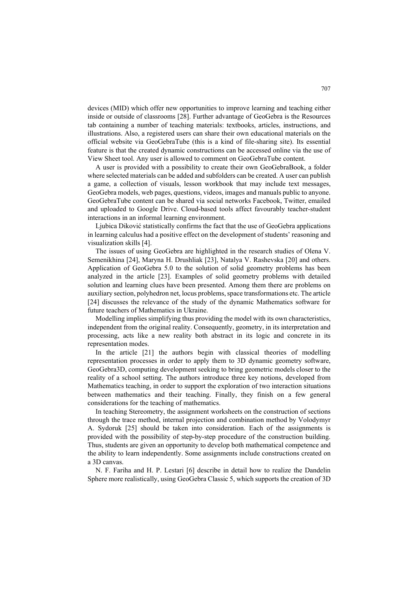devices (MID) which offer new opportunities to improve learning and teaching either inside or outside of classrooms [28]. Further advantage of GeoGebra is the Resources tab containing a number of teaching materials: textbooks, articles, instructions, and illustrations. Also, a registered users can share their own educational materials on the official website via GeoGebraTube (this is a kind of file-sharing site). Its essential feature is that the created dynamic constructions can be accessed online via the use of View Sheet tool. Any user is allowed to comment on GeoGebraTube content.

A user is provided with a possibility to create their own GeoGebraBook, a folder where selected materials can be added and subfolders can be created. A user can publish a game, a collection of visuals, lesson workbook that may include text messages, GeoGebra models, web pages, questions, videos, images and manuals public to anyone. GeoGebraTube content can be shared via social networks Facebook, Twitter, emailed and uploaded to Google Drive. Cloud-based tools affect favourably teacher-student interactions in an informal learning environment.

Ljubica Diković statistically confirms the fact that the use of GeoGebra applications in learning calculus had a positive effect on the development of students' reasoning and visualization skills [4].

The issues of using GeoGebra are highlighted in the research studies of Olena V. Semenikhina [24], Maryna H. Drushliak [23], Natalya V. Rashevska [20] and others. Application of GeoGebra 5.0 to the solution of solid geometry problems has been analyzed in the article [23]. Examples of solid geometry problems with detailed solution and learning clues have been presented. Among them there are problems on auxiliary section, polyhedron net, locus problems, space transformations etc. The article [24] discusses the relevance of the study of the dynamic Mathematics software for future teachers of Mathematics in Ukraine.

Modelling implies simplifying thus providing the model with its own characteristics, independent from the original reality. Consequently, geometry, in its interpretation and processing, acts like a new reality both abstract in its logic and concrete in its representation modes.

In the article [21] the authors begin with classical theories of modelling representation processes in order to apply them to 3D dynamic geometry software, GeoGebra3D, computing development seeking to bring geometric models closer to the reality of a school setting. The authors introduce three key notions, developed from Mathematics teaching, in order to support the exploration of two interaction situations between mathematics and their teaching. Finally, they finish on a few general considerations for the teaching of mathematics.

In teaching Stereometry, the assignment worksheets on the construction of sections through the trace method, internal projection and combination method by Volodymyr A. Sydoruk [25] should be taken into consideration. Each of the assignments is provided with the possibility of step-by-step procedure of the construction building. Thus, students are given an opportunity to develop both mathematical competence and the ability to learn independently. Some assignments include constructions created on a 3D canvas.

N. F. Fariha and H. P. Lestari [6] describe in detail how to realize the Dandelin Sphere more realistically, using GeoGebra Classic 5, which supports the creation of 3D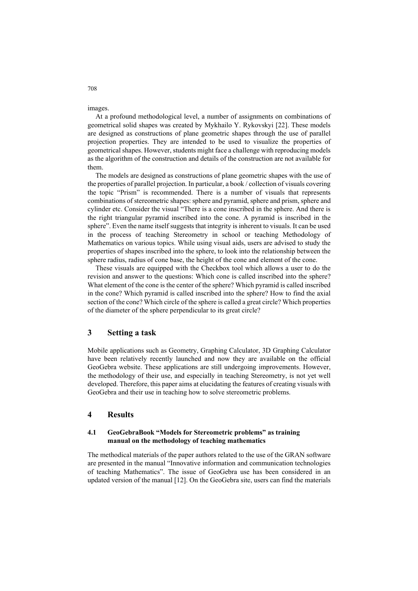images.

At a profound methodological level, a number of assignments on combinations of geometrical solid shapes was created by Mykhailo Y. Rykovskyi [22]. These models are designed as constructions of plane geometric shapes through the use of parallel projection properties. They are intended to be used to visualize the properties of geometrical shapes. However, students might face a challenge with reproducing models as the algorithm of the construction and details of the construction are not available for them.

The models are designed as constructions of plane geometric shapes with the use of the properties of parallel projection. In particular, a book / collection of visuals covering the topic "Prism" is recommended. There is a number of visuals that represents combinations of stereometric shapes: sphere and pyramid, sphere and prism, sphere and cylinder etc. Consider the visual "There is a cone inscribed in the sphere. And there is the right triangular pyramid inscribed into the cone. A pyramid is inscribed in the sphere". Even the name itself suggests that integrity is inherent to visuals. It can be used in the process of teaching Stereometry in school or teaching Methodology of Mathematics on various topics. While using visual aids, users are advised to study the properties of shapes inscribed into the sphere, to look into the relationship between the sphere radius, radius of cone base, the height of the cone and element of the cone.

These visuals are equipped with the Checkbox tool which allows a user to do the revision and answer to the questions: Which cone is called inscribed into the sphere? What element of the cone is the center of the sphere? Which pyramid is called inscribed in the cone? Which pyramid is called inscribed into the sphere? How to find the axial section of the cone? Which circle of the sphere is called a great circle? Which properties of the diameter of the sphere perpendicular to its great circle?

#### **3 Setting a task**

Mobile applications such as Geometry, Graphing Calculator, 3D Graphing Calculator have been relatively recently launched and now they are available on the official GeoGebra website. These applications are still undergoing improvements. However, the methodology of their use, and especially in teaching Stereometry, is not yet well developed. Therefore, this paper aims at elucidating the features of creating visuals with GeoGebra and their use in teaching how to solve stereometric problems.

## **4 Results**

#### **4.1 GeoGebraBook "Models for Stereometric problems" as training manual on the methodology of teaching mathematics**

The methodical materials of the paper authors related to the use of the GRAN software are presented in the manual "Innovative information and communication technologies of teaching Mathematics". The issue of GeoGebra use has been considered in an updated version of the manual [12]. On the GeoGebra site, users can find the materials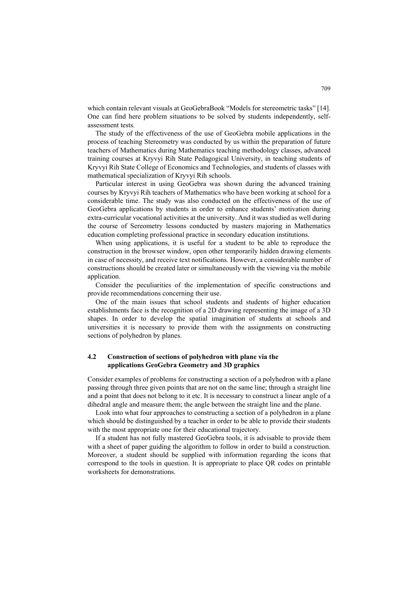which contain relevant visuals at GeoGebraBook "Models for stereometric tasks" [14]. One can find here problem situations to be solved by students independently, selfassessment tests.

The study of the effectiveness of the use of GeoGebra mobile applications in the process of teaching Stereometry was conducted by us within the preparation of future teachers of Mathematics during Mathematics teaching methodology classes, advanced training courses at Kryvyi Rih State Pedagogical University, in teaching students of Kryvyi Rih State College of Economics and Technologies, and students of classes with mathematical specialization of Kryvyi Rih schools.

Particular interest in using GeoGebra was shown during the advanced training courses by Kryvyi Rih teachers of Mathematics who have been working at school for a considerable time. The study was also conducted on the effectiveness of the use of GeoGebra applications by students in order to enhance students' motivation during extra-curricular vocational activities at the university. And it was studied as well during the course of Sereometry lessons conducted by masters majoring in Mathematics education completing professional practice in secondary education institutions.

When using applications, it is useful for a student to be able to reproduce the construction in the browser window, open other temporarily hidden drawing elements in case of necessity, and receive text notifications. However, a considerable number of constructions should be created later or simultaneously with the viewing via the mobile application.

Consider the peculiarities of the implementation of specific constructions and provide recommendations concerning their use.

One of the main issues that school students and students of higher education establishments face is the recognition of a 2D drawing representing the image of a 3D shapes. In order to develop the spatial imagination of students at schools and universities it is necessary to provide them with the assignments on constructing sections of polyhedron by planes.

### **4.2 Construction of sections of polyhedron with plane via the applications GeoGebra Geometry and 3D graphics**

Consider examples of problems for constructing a section of a polyhedron with a plane passing through three given points that are not on the same line; through a straight line and a point that does not belong to it etc. It is necessary to construct a linear angle of a dihedral angle and measure them; the angle between the straight line and the plane.

Look into what four approaches to constructing a section of a polyhedron in a plane which should be distinguished by a teacher in order to be able to provide their students with the most appropriate one for their educational trajectory.

If a student has not fully mastered GeoGebra tools, it is advisable to provide them with a sheet of paper guiding the algorithm to follow in order to build a construction. Moreover, a student should be supplied with information regarding the icons that correspond to the tools in question. It is appropriate to place QR codes on printable worksheets for demonstrations.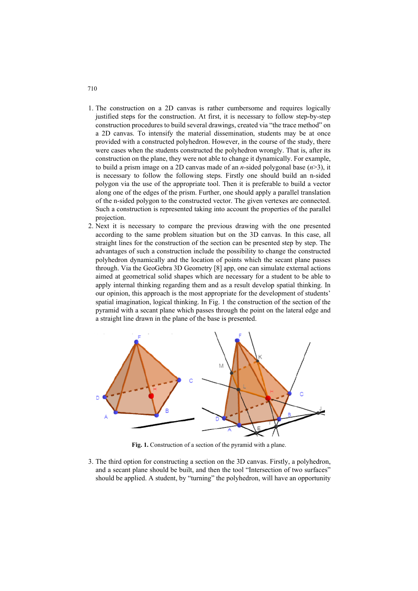- 1. The construction on a 2D canvas is rather cumbersome and requires logically justified steps for the construction. At first, it is necessary to follow step-by-step construction procedures to build several drawings, created via "the trace method" on a 2D canvas. To intensify the material dissemination, students may be at once provided with a constructed polyhedron. However, in the course of the study, there were cases when the students constructed the polyhedron wrongly. That is, after its construction on the plane, they were not able to change it dynamically. For example, to build a prism image on a 2D canvas made of an *n*-sided polygonal base (*n*>3), it is necessary to follow the following steps. Firstly one should build an n-sided polygon via the use of the appropriate tool. Then it is preferable to build a vector along one of the edges of the prism. Further, one should apply a parallel translation of the n-sided polygon to the constructed vector. The given vertexes are connected. Such a construction is represented taking into account the properties of the parallel projection.
- 2. Next it is necessary to compare the previous drawing with the one presented according to the same problem situation but on the 3D canvas. In this case, all straight lines for the construction of the section can be presented step by step. The advantages of such a construction include the possibility to change the constructed polyhedron dynamically and the location of points which the secant plane passes through. Via the GeoGebra 3D Geometry [8] app, one can simulate external actions aimed at geometrical solid shapes which are necessary for a student to be able to apply internal thinking regarding them and as a result develop spatial thinking. In our opinion, this approach is the most appropriate for the development of students' spatial imagination, logical thinking. In Fig. 1 the construction of the section of the pyramid with a secant plane which passes through the point on the lateral edge and a straight line drawn in the plane of the base is presented.



**Fig. 1.** Construction of a section of the pyramid with a plane.

3. The third option for constructing a section on the 3D canvas. Firstly, a polyhedron, and a secant plane should be built, and then the tool "Intersection of two surfaces" should be applied. A student, by "turning" the polyhedron, will have an opportunity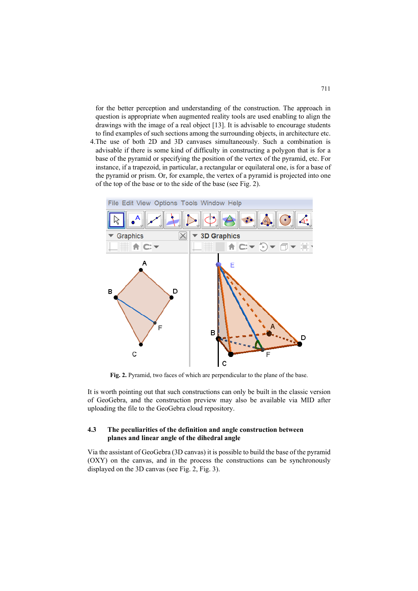for the better perception and understanding of the construction. The approach in question is appropriate when augmented reality tools are used enabling to align the drawings with the image of a real object [13]. It is advisable to encourage students to find examples of such sections among the surrounding objects, in architecture etc.

4.The use of both 2D and 3D canvases simultaneously. Such a combination is advisable if there is some kind of difficulty in constructing a polygon that is for a base of the pyramid or specifying the position of the vertex of the pyramid, etc. For instance, if a trapezoid, in particular, a rectangular or equilateral one, is for a base of the pyramid or prism. Or, for example, the vertex of a pyramid is projected into one of the top of the base or to the side of the base (see Fig. 2).



**Fig. 2.** Pyramid, two faces of which are perpendicular to the plane of the base.

It is worth pointing out that such constructions can only be built in the classic version of GeoGebra, and the construction preview may also be available via MID after uploading the file to the GeoGebra cloud repository.

### **4.3 The peculiarities of the definition and angle construction between planes and linear angle of the dihedral angle**

Via the assistant of GeoGebra (3D canvas) it is possible to build the base of the pyramid (OXY) on the canvas, and in the process the constructions can be synchronously displayed on the 3D canvas (see Fig. 2, Fig. 3).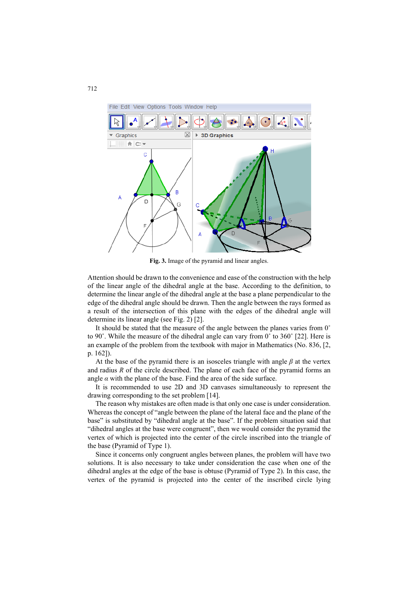

**Fig. 3.** Image of the pyramid and linear angles.

Attention should be drawn to the convenience and ease of the construction with the help of the linear angle of the dihedral angle at the base. According to the definition, to determine the linear angle of the dihedral angle at the base a plane perpendicular to the edge of the dihedral angle should be drawn. Then the angle between the rays formed as a result of the intersection of this plane with the edges of the dihedral angle will determine its linear angle (see Fig. 2) [2].

It should be stated that the measure of the angle between the planes varies from 0˚ to 90 $\degree$ . While the measure of the dihedral angle can vary from 0 $\degree$  to 360 $\degree$  [22]. Here is an example of the problem from the textbook with major in Mathematics (No. 836, [2, p. 162]).

At the base of the pyramid there is an isosceles triangle with angle  $\beta$  at the vertex and radius *R* of the circle described. The plane of each face of the pyramid forms an angle  $\alpha$  with the plane of the base. Find the area of the side surface.

It is recommended to use 2D and 3D canvases simultaneously to represent the drawing corresponding to the set problem [14].

The reason why mistakes are often made is that only one case is under consideration. Whereas the concept of "angle between the plane of the lateral face and the plane of the base" is substituted by "dihedral angle at the base". If the problem situation said that "dihedral angles at the base were congruent", then we would consider the pyramid the vertex of which is projected into the center of the circle inscribed into the triangle of the base (Pyramid of Type 1).

Since it concerns only congruent angles between planes, the problem will have two solutions. It is also necessary to take under consideration the case when one of the dihedral angles at the edge of the base is obtuse (Pyramid of Type 2). In this case, the vertex of the pyramid is projected into the center of the inscribed circle lying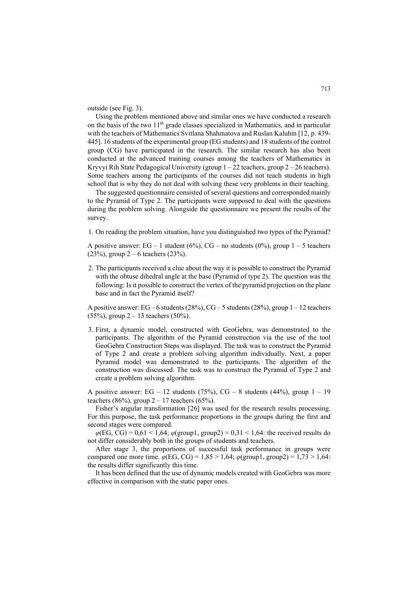outside (see Fig. 3).

Using the problem mentioned above and similar ones we have conducted a research on the basis of the two 11<sup>th</sup> grade classes specialized in Mathematics, and in particular with the teachers of Mathematics Svitlana Shahmatova and Ruslan Kaluhin [12, p. 439- 445]. 16 students of the experimental group (EG students) and 18 students of the control group (CG) have participated in the research. The similar research has also been conducted at the advanced training courses among the teachers of Mathematics in Kryvyi Rih State Pedagogical University (group  $1 - 22$  teachers, group  $2 - 26$  teachers). Some teachers among the participants of the courses did not teach students in high school that is why they do not deal with solving these very problems in their teaching.

The suggested questionnaire consisted of several questions and corresponded mainly to the Pyramid of Type 2. The participants were supposed to deal with the questions during the problem solving. Alongside the questionnaire we present the results of the survey.

1. On reading the problem situation, have you distinguished two types of the Pyramid?

A positive answer:  $EG - 1$  student (6%),  $CG - no$  students (0%), group  $1 - 5$  teachers  $(23\%)$ , group 2 – 6 teachers  $(23\%)$ .

2. The participants received a clue about the way it is possible to construct the Pyramid with the obtuse dihedral angle at the base (Pyramid of type 2). The question was the following: Is it possible to construct the vertex of the pyramid projection on the plane base and in fact the Pyramid itself?

A positive answer:  $EG-6$  students (28%),  $CG-5$  students (28%), group  $1-12$  teachers (55%), group  $2 - 13$  teachers (50%).

3. First, a dynamic model, constructed with GeoGebra, was demonstrated to the participants. The algorithm of the Pyramid construction via the use of the tool GeoGebra Construction Steps was displayed. The task was to construct the Pyramid of Type 2 and create a problem solving algorithm individually. Next, a paper Pyramid model was demonstrated to the participants. The algorithm of the construction was discussed. The task was to construct the Pyramid of Type 2 and create a problem solving algorithm.

A positive answer: EG – 12 students (75%), CG – 8 students (44%), group  $1 - 19$ teachers (86%), group  $2 - 17$  teachers (65%).

Fisher's angular transformation [26] was used for the research results processing. For this purpose, the task performance proportions in the groups during the first and second stages were compared.

 $\varphi$ (EG, CG) = 0,61 < 1,64;  $\varphi$ (group1, group2) = 0,31 < 1,64: the received results do not differ considerably both in the groups of students and teachers.

After stage 3, the proportions of successful task performance in groups were compared one more time.  $\varphi$ (EG, CG) = 1,85 > 1,64;  $\varphi$ (group1, group2) = 1,73 > 1,64: the results differ significantly this time.

It has been defined that the use of dynamic models created with GeoGebra was more effective in comparison with the static paper ones.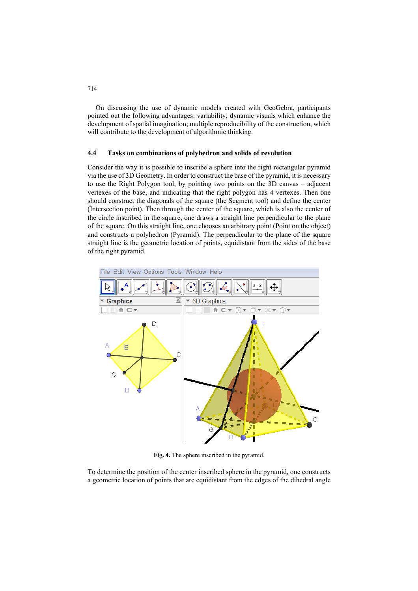On discussing the use of dynamic models created with GeoGebra, participants pointed out the following advantages: variability; dynamic visuals which enhance the development of spatial imagination; multiple reproducibility of the construction, which will contribute to the development of algorithmic thinking.

#### **4.4 Tasks on combinations of polyhedron and solids of revolution**

Consider the way it is possible to inscribe a sphere into the right rectangular pyramid via the use of 3D Geometry. In order to construct the base of the pyramid, it is necessary to use the Right Polygon tool, by pointing two points on the 3D canvas – adjacent vertexes of the base, and indicating that the right polygon has 4 vertexes. Then one should construct the diagonals of the square (the Segment tool) and define the center (Intersection point). Then through the center of the square, which is also the center of the circle inscribed in the square, one draws a straight line perpendicular to the plane of the square. On this straight line, one chooses an arbitrary point (Point on the object) and constructs a polyhedron (Pyramid). The perpendicular to the plane of the square straight line is the geometric location of points, equidistant from the sides of the base of the right pyramid.



**Fig. 4.** The sphere inscribed in the pyramid.

To determine the position of the center inscribed sphere in the pyramid, one constructs a geometric location of points that are equidistant from the edges of the dihedral angle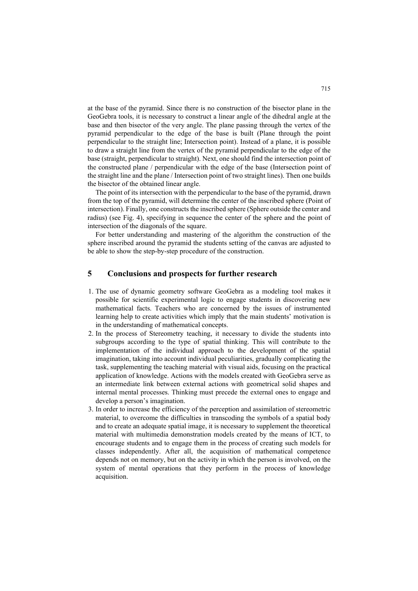at the base of the pyramid. Since there is no construction of the bisector plane in the GeoGebra tools, it is necessary to construct a linear angle of the dihedral angle at the base and then bisector of the very angle. The plane passing through the vertex of the pyramid perpendicular to the edge of the base is built (Plane through the point perpendicular to the straight line; Intersection point). Instead of a plane, it is possible to draw a straight line from the vertex of the pyramid perpendicular to the edge of the base (straight, perpendicular to straight). Next, one should find the intersection point of the constructed plane / perpendicular with the edge of the base (Intersection point of the straight line and the plane / Intersection point of two straight lines). Then one builds the bisector of the obtained linear angle.

The point of its intersection with the perpendicular to the base of the pyramid, drawn from the top of the pyramid, will determine the center of the inscribed sphere (Point of intersection). Finally, one constructs the inscribed sphere (Sphere outside the center and radius) (see Fig. 4), specifying in sequence the center of the sphere and the point of intersection of the diagonals of the square.

For better understanding and mastering of the algorithm the construction of the sphere inscribed around the pyramid the students setting of the canvas are adjusted to be able to show the step-by-step procedure of the construction.

## **5 Conclusions and prospects for further research**

- 1. The use of dynamic geometry software GeoGebra as a modeling tool makes it possible for scientific experimental logic to engage students in discovering new mathematical facts. Teachers who are concerned by the issues of instrumented learning help to create activities which imply that the main students' motivation is in the understanding of mathematical concepts.
- 2. In the process of Stereometry teaching, it necessary to divide the students into subgroups according to the type of spatial thinking. This will contribute to the implementation of the individual approach to the development of the spatial imagination, taking into account individual peculiarities, gradually complicating the task, supplementing the teaching material with visual aids, focusing on the practical application of knowledge. Actions with the models created with GeoGebra serve as an intermediate link between external actions with geometrical solid shapes and internal mental processes. Thinking must precede the external ones to engage and develop a person's imagination.
- 3. In order to increase the efficiency of the perception and assimilation of stereometric material, to overcome the difficulties in transcoding the symbols of a spatial body and to create an adequate spatial image, it is necessary to supplement the theoretical material with multimedia demonstration models created by the means of ICT, to encourage students and to engage them in the process of creating such models for classes independently. After all, the acquisition of mathematical competence depends not on memory, but on the activity in which the person is involved, on the system of mental operations that they perform in the process of knowledge acquisition.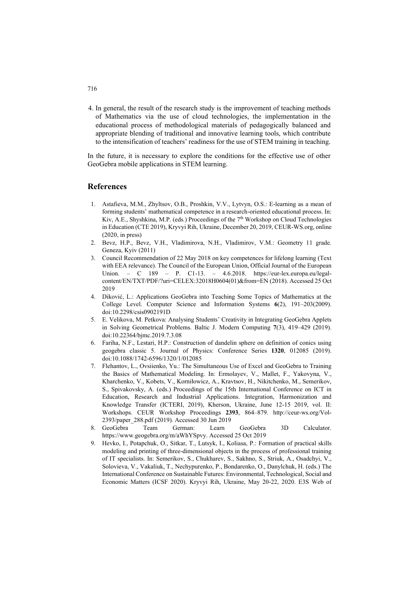4. In general, the result of the research study is the improvement of teaching methods of Mathematics via the use of cloud technologies, the implementation in the educational process of methodological materials of pedagogically balanced and appropriate blending of traditional and innovative learning tools, which contribute to the intensification of teachers' readiness for the use of STEM training in teaching.

In the future, it is necessary to explore the conditions for the effective use of other GeoGebra mobile applications in STEM learning.

#### **References**

- 1. Astafieva, M.M., Zhyltsov, O.B., Proshkin, V.V., Lytvyn, O.S.: E-learning as a mean of forming students' mathematical competence in a research-oriented educational process. In: Kiv, A.E., Shyshkina, M.P. (eds.) Proceedings of the 7<sup>th</sup> Workshop on Cloud Technologies in Education (CTE 2019), Kryvyi Rih, Ukraine, December 20, 2019, CEUR-WS.org, online (2020, in press)
- 2. Bevz, H.P., Bevz, V.H., Vladimirova, N.H., Vladimirov, V.M.: Geometry 11 grade. Geneza, Kyiv (2011)
- 3. Council Recommendation of 22 May 2018 on key competences for lifelong learning (Text with EEA relevance). The Council of the European Union, Official Journal of the European Union. – C 189 – P. C1-13. – 4.6.2018. [https://eur-lex.europa.eu/legal](https://eur-lex.europa.eu/legal-)content/EN/TXT/PDF/?uri=CELEX:32018H0604(01)&from=EN (2018). Accessed 25 Oct 2019
- 4. Diković, L.: Applications GeoGebra into Teaching Some Topics of Mathematics at the College Level. Computer Science and Information Systems **6**(2), 191–203(2009). doi:10.2298/csis0902191D
- 5. E. Velikova, M. Petkova: Analysing Students' Creativity in Integrating GeoGebra Applets in Solving Geometrical Problems. Baltic J. Modern Computing **7**(3), 419–429 (2019). doi:10.22364/bjmc.2019.7.3.08
- 6. Fariha, N.F., Lestari, H.P.: Construction of dandelin sphere on definition of conics using geogebra classic 5. Journal of Physics: Conference Series **1320**, 012085 (2019). doi:10.1088/1742-6596/1320/1/012085
- 7. Flehantov, L., Ovsiienko, Yu.: The Simultaneous Use of Excel and GeoGebra to Training the Basics of Mathematical Modeling. In: Ermolayev, V., Mallet, F., Yakovyna, V., Kharchenko, V., Kobets, V., Korniłowicz, A., Kravtsov, H., Nikitchenko, M., Semerikov, S., Spivakovsky, A. (eds.) Proceedings of the 15th International Conference on ICT in Education, Research and Industrial Applications. Integration, Harmonization and Knowledge Transfer (ICTERI, 2019), Kherson, Ukraine, June 12-15 2019, vol. II: Workshops. CEUR Workshop Proceedings **2393**, 864–879. <http://ceur-ws.org/Vol->2393/paper\_288.pdf (2019). Accessed 30 Jun 2019
- 8. GeoGebra Team German: Learn GeoGebra 3D Calculator. <https://www.geogebra.org/m/aWhYSpvy.>Accessed 25 Oct 2019
- 9. Hevko, I., Potapchuk, O., Sіtkar, T., Lutsyk, I., Koliasa, P.: Formation of practical skills modeling and printing of three-dimensional objects in the process of professional training of IT specialists. In: Semerikov, S., Chukharev, S., Sakhno, S., Striuk, A., Osadchyi, V., Solovieva, V., Vakaliuk, T., Nechypurenko, P., Bondarenko, O., Danylchuk, H. (eds.) The International Conference on Sustainable Futures: Environmental, Technological, Social and Economic Matters (ICSF 2020). Kryvyi Rih, Ukraine, May 20-22, 2020. E3S Web of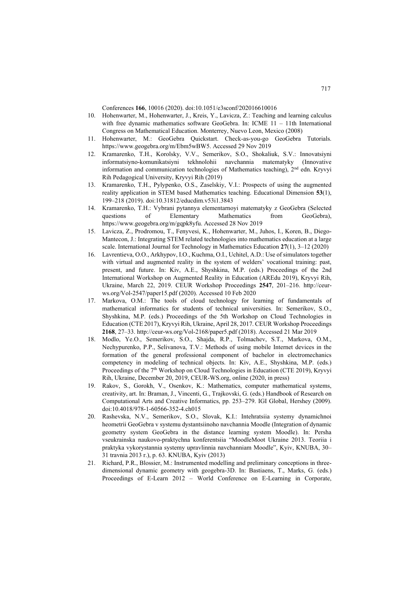Conferences **166**, 10016 (2020). doi:10.1051/e3sconf/202016610016

- 10. Hohenwarter, M., Hohenwarter, J., Kreis, Y., Lavicza, Z.: Teaching and learning calculus with free dynamic mathematics software GeoGebra. In: ICME 11 - 11th International Congress on Mathematical Education. Monterrey, Nuevo Leon, Mexico (2008)
- 11. Hohenwarter, M.: GeoGebra Quickstart. Check-as-you-go GeoGebra Tutorials. <https://www.geogebra.org/m/Ebm5wBW5.>Accessed 29 Nov 2019
- 12. Kramarenko, T.H., Korolsky, V.V., Semerikov, S.O., Shokaliuk, S.V.: Innovatsiyni informatsiyno-komunikatsiyni tekhnolohii navchannia matematyky (Innovative information and communication technologies of Mathematics teaching), 2nd edn. Kryvyi Rih Pedagogical University, Kryvyi Rih (2019)
- 13. Kramarenko, T.H., Pylypenko, O.S., Zaselskiy, V.I.: Prospects of using the augmented reality application in STEM based Mathematics teaching. Educational Dimension **53**(1), 199–218 (2019). doi:10.31812/educdim.v53i1.3843
- 14. Kramarenko, T.H.: Vybrani pytannya elementarnoyi matematyky z GeoGebra (Selected questions of Elementary Mathematics from GeoGebra), <https://www.geogebra.org/m/gqpk8yfu.> Accessed 28 Nov 2019
- 15. Lavicza, Z., Prodromou, T., Fenyvesi, K., Hohenwarter, M., Juhos, I., Koren, B., Diego-Mantecon, J.: Integrating STEM related technologies into mathematics education at a large scale. International Journal for Technology in Mathematics Education **27**(1), 3–12 (2020)
- 16. Lavrentieva, O.O., Arkhypov, I.O., Kuchma, O.I., Uchitel, A.D.: Use of simulators together with virtual and augmented reality in the system of welders' vocational training: past, present, and future. In: Kiv, A.E., Shyshkina, M.P. (eds.) Proceedings of the 2nd International Workshop on Augmented Reality in Education (AREdu 2019), Kryvyi Rih, Ukraine, March 22, 2019. CEUR Workshop Proceedings **2547**, 201–216. [http://ceur](http://ceur-)ws.org/Vol-2547/paper15.pdf (2020). Accessed 10 Feb 2020
- 17. Markova, O.M.: The tools of cloud technology for learning of fundamentals of mathematical informatics for students of technical universities. In: Semerikov, S.O., Shyshkina, M.P. (eds.) Proceedings of the 5th Workshop on Cloud Technologies in Education (CTE 2017), Kryvyi Rih, Ukraine, April 28, 2017. CEUR Workshop Proceedings **2168**, 27–33. <http://ceur-ws.org/Vol-2168/paper5.pdf> (2018). Accessed 21 Mar 2019
- 18. Modlo, Ye.O., Semerikov, S.O., Shajda, R.P., Tolmachev, S.T., Markova, O.M., Nechypurenko, P.P., Selivanova, T.V.: Methods of using mobile Internet devices in the formation of the general professional component of bachelor in electromechanics competency in modeling of technical objects. In: Kiv, A.E., Shyshkina, M.P. (eds.) Proceedings of the 7<sup>th</sup> Workshop on Cloud Technologies in Education (CTE 2019), Kryvyi Rih, Ukraine, December 20, 2019, CEUR-WS.org, online (2020, in press)
- 19. Rakov, S., Gorokh, V., Osenkov, K.: Mathematics, computer mathematical systems, creativity, art. In: Braman, J., Vincenti, G., Trajkovski, G. (eds.) Handbook of Research on Computational Arts and Creative Informatics, pp. 253–279. IGI Global, Hershey (2009). doi:10.4018/978-1-60566-352-4.ch015
- 20. Rashevska, N.V., Semerikov, S.O., Slovak, K.I.: Intehratsiia systemy dynamichnoi heometrii GeoGebra v systemu dystantsiinoho navchannia Moodle (Integration of dynamic geometry system GeoGebra in the distance learning system Moodle). In: Persha vseukrainska naukovo-praktychna konferentsiia "MoodleMoot Ukraine 2013. Teoriia i praktyka vykorystannia systemy upravlinnia navchanniam Moodle", Kyiv, KNUBA, 30– 31 travnia 2013 r.), p. 63. KNUBA, Kyiv (2013)
- 21. Richard, P.R., Blossier, M.: Instrumented modelling and preliminary conceptions in threedimensional dynamic geometry with geogebra-3D. In: Bastiaens, T., Marks, G. (eds.) Proceedings of E-Learn 2012 – World Conference on E-Learning in Corporate,